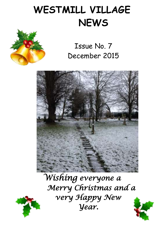# **WESTMILL VILLAGE NEWS**





*Wishing everyone a Merry Christmas and a very Happy New Year.* 





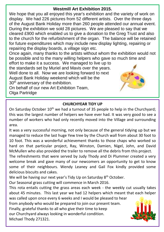#### **Westmill Art Exhibition 2015.**

 display. We had 226 pictures from 52 different artists. Over the three days  During the exhibition we sold 28 pictures. We are pleased to say that we for future expenditures which may include new display lighting, repairing or<br>repairing the display beards, a village sign atc We hope that you all enjoyed this year's exhibition and the variety of work on of the August Bank Holiday more than 260 people attended our annual event. cleared £900 which enabled us to give a donation to the Greg Trust and also to the church for the refurbishment of the organ. The balance will be retained repairing the display boards, a village sign etc.

Once again, many thanks to the artists without whom the exhibition would not<br>be possible and to the many willing helpers who gave so much time and be possible and to the many willing helpers who gave so much time and

ettort to make it a success. We managed to live up to<br>the standards set by Muriel and Mavis over the years.  August Bank Holiday weekend which will be the effort to make it a success. We managed to live up to Well done to all. Now we are looking forward to next 30<sup>th</sup> anniversary of the exhibition.

 On behalf of our new Art Exhibition Team,  Olga Partridge



#### **CHURCHYEAR TIDY UP**

**CHONCHTLAN HOT OF**<br>On Saturday October 10<sup>th</sup> we had a turnout of 35 people to help in the Churchyard; and was the largest number of helpers we have ever had. It was very good to see a number of workers who had only recently moved into the Village and surrounding this was the largest number of helpers we have ever had. It was very good to see a area.

 It was a very successful morning, not only because of the general tidying up but we managed to reduce the last hage few tree by the end on wan hom about so foot to 10 foot. This was a wonderful achievement thanks to those chaps who worked so McMullen who also provided the trailer to remove all the debris from this project. managed to reduce the last huge Yew tree by the Church wall from about 30 foot to hard on that particular project, Ray, Winston, Damien, Nigel, John, and David

 welcome break and gave many of our newcomers an opportunity to get to know  The refreshments that were served by Judy Thody and Di Plummer created a very some of their neighbours. Wendy Leaney and Gail Fox kindly provided some delicious biscuits and cakes.

We will be having our next year's Tidy Up on Saturday 8<sup>th</sup> October.

 Our Seasonal grass cutting will commence in March 2016.

about 45 minutes. This last year we had 12 helpers which meant that each helper from anybody who would be prepared to join our present team. This rota entails cutting the grass areas each week - the weekly cut usually takes was called upon once every 6 weeks and I would be pleased to hear

our Churchyard always looking in wonderful condition. Finally, grateful thanks to all who give their time to keep Michael Thody 271321.

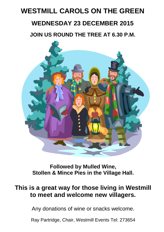## **WESTMILL CAROLS ON THE GREEN**

#### **WEDNESDAY 23 DECEMBER 2015**

 **JOIN US ROUND THE TREE AT 6.30 P.M.**



**Followed by Mulled Wine,**  **Stollen & Mince Pies in the Village Hall.**  $J_{\rm eff}$  and  $J_{\rm eff}$  pm  $J_{\rm eff}$  pm  $J_{\rm eff}$  pm  $J_{\rm eff}$  pm  $J_{\rm eff}$  pm  $J_{\rm eff}$  pm  $J_{\rm eff}$  pm  $J_{\rm eff}$  pm  $J_{\rm eff}$  pm  $J_{\rm eff}$  pm  $J_{\rm eff}$  pm  $J_{\rm eff}$  pm  $J_{\rm eff}$  pm  $J_{\rm eff}$  pm  $J_{\rm eff}$  pm  $J_{\rm eff}$  pm  $J_{\rm eff}$  pm  $J_{\$ 

### **This is a great way for those living in Westmill**   **to meet and welcome new villagers.**

 Any donations of wine or snacks welcome.

 Ray Partridge, Chair, Westmill Events Tel: 273654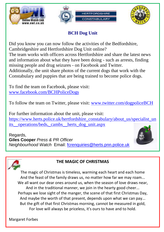



## **BCH Dog Unit**

 Did you know you can now follow the activities of the Bedfordshire, Cambridgeshire and Hertfordshire Dog Unit online? The team works with officers across Hertfordshire and share the latest news and information about what they have been doing - such as arrests, finding missing people and drug seizures - on Facebook and Twitter. Additionally, the unit share photos of the current dogs that work with the Constabulary and puppies that are being trained to become police dogs.

 [www.facebook.com/BCHPoliceDogs](http://www.facebook.com/BCHPoliceDogs) To find the team on Facebook, please visit:

To follow the team on Twitter, please visit: <u>www.twitter.com/dogpoliceBCH</u>

For further information about the unit, please visit:<br><u>[https://www.herts.police.uk/hertfordshire\\_constabulary/about\\_us/specialist\\_un](https://www.herts.police.uk/hertfordshire_constabulary/about_us/specialist_units__operations/beds,_cambs__herts_dog_unit.aspx)</u> its\_operations/beds,\_cambs\_herts\_dog\_unit.aspx For further information about the unit, please visit:

 *Neighbourhood Watch* Email: [fcrenquiries@herts.pnn.police.uk](mailto:fcrenquiries@herts.pnn.police.uk?subject=RE:%20(OWL)%20BCH%20Dog%20Unit) Regards, **Giles Cooper** *Press & PR Officer*





## **THE MAGIC OF CHRISTMAS**

**I**<br>The magic of Christmas is timeless, warming each heart and each home And the feast of the family draws us, no matter how far we may roam...<br>We all want our dear ones around us, when the season of love draws near, And in the traditional manner, we join in the hearty good cheer...<br>Perhaps we lose sight of the manger, the scene of that first Christmas Day, And maybe the worth of that present, depends upon what we can pay...<br>But the gift of that first Christmas morning, cannot be measured in gold, For love will always be priceless, it's ours to have and to hold.<br> And the feast of the family draws us, no matter how far we may roam... And in the traditional manner, we join in the hearty good cheer... And maybe the worth of that present, depends upon what we can pay...

Margaret Forbes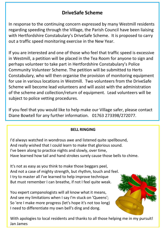#### **DriveSafe Scheme**

 regarding speeding through the Village, the Parish Council have been liaising  out a traffic speed monitoring exercise in the New Year. In response to the continuing concern expressed by many Westmill residents with Hertfordshire Constabulary's DriveSafe Scheme. It is proposed to carry

 If you are interested and one of those who feel that traffic speed is excessive in westmill, a petition will be placed in the Tea Room for anyone to sig<br>perhaps volunteer to take part in Hertfordshire Constabulary's Police Community Volunteer Scheme. The petition will be submitted to Herts<br>Constabulary, who will then organise the provision of monitoring equipment for use in various locations in Westmill. Two volunteers from the DriveSafe<br>Schome will become load volunteers and will assist with the administration of the scheme and collection/return of equipment. Lead volunteers will be in Westmill, a petition will be placed in the Tea Room for anyone to sign and Community Volunteer Scheme. The petition will be submitted to Herts Scheme will become lead volunteers and will assist with the administration subject to police vetting procedures.

 Diane Bowtell for any further information. 01763 273398/272077.If you feel that you would like to help make our Village safer, please contact

## **BELL RINGING**

 I'd always watched in wondrous awe and listened quite spellbound, And really wished that I could learn to make that glorious sound.<br>I've been along to practice nights and slowly over time. Have learned how tail and hand strokes surely cause those bells to chime.<br> I've been along to practice nights and slowly, over time,

It's not as easy as you think to make those beggars peel, And not a case of mighty strength, but rhythm, touch and feel. I try to master all I've learned to help improve technique But must remember I can breathe, if not I feel quite weak.

You expert campanologists will all know what it means. And see my limitations when I say I'm stuck on 'Queens'; So 'ere I make more progress (let's hope it's not too long) I need to differentiate my own bell's ding and dong.



With apologies to local residents and thanks to all those helping me in my pursuit! Jan James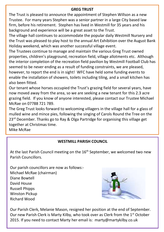#### **GREG TRUST**

The Trust is pleased to announce the appointment of Stephen Willson as a new Trustee. For many years Stephen was a senior partner in a large City based law firm, before his retirement. Stephen has lived in Westmill for 35 years and his background and experience will be a great asset to the Trust.

The village hall continues to accommodate the popular daily Westmill Nursery and the Trust was pleased to play host to the annual Art Exhibition over the August Bank Holiday weekend, which was another successful village event.

The Trustees continue to manage and maintain the various Greg Trust owned properties, children's playground, recreation field, village allotments etc. Although the interior completion of the recreation field pavilion by Westmill Football Club has seemed to be never ending as a result of funding constraints, we are pleased, however, to report the end is in sight! WFC have held some funding events to enable the installation of showers, toilets including tiling, and a small kitchen has also been fitted.

Our tenant whose horses occupied the Trust's grazing field for several years, have now moved away from the area, so we are seeking a new tenant for this 2.3 acre grazing field. If you know of anyone interested, please contact our Trustee Michael McRae on 07788 721 789.

The Greg Trust looks forward to welcoming villagers in the village hall for a glass of mulled wine and mince pies, following the singing of Carols Round the Tree on the  $23<sup>rd</sup>$  December. Thanks go to Ray & Olga Partridge for organising this village get together at Christmas time.

Mike McRae

#### **WESTMILL PARISH COUNCIL**

At the last Parish Council meeting on the 16<sup>th</sup> September, we welcomed two new Parish Councillors.

Our parish councillors are now as follows:- Michael McRae (chairman) Diane Bowtell David House Russell Phipps Winston Pickup Richard Wood



Our Parish Clerk, Melanie Mason, resigned her position at the end of September. Our new Parish Clerk is Marty Kilby, who took over as Clerk from the 1<sup>st</sup> October 2015. If you need to contact Marty her email is: marty@martykilby.co.uk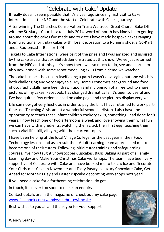### 'Celebrate with Cake' Update

It really doesn't seem possible that it's a year ago since my first visit to Cake International at the NEC and the start of Celebrate with Cakes' journey.

After winning The Churches Conservation Trust/Waitrose 'Great Church Bake Off' with my St Mary's Church cake in July 2014, word of mouth has kindly been getting around about the cakes I've made and to date I have made bespoke cakes ranging from traditional birthday cakes with floral decoration to a Running shoe, a Go-Kart and a Routemaster Bus for 100!

Tickets to Cake International were part of the prize and I was amazed and inspired by the cake artists that exhibited/demonstrated at this show. We've just returned from the NEC and at this year's show there was so much to do, see and learn. I'm also now armed with some robot modelling skills from a demo we watched.

The cake business has taken itself along a path I wasn't envisaging but one which is both challenging and very enjoyable. My Home Economics background and food photography skills have been drawn upon and my opinion of a free tool to share pictures of my cakes, Facebook, has changed dramatically! It's been so useful and I've had quite a few orders placed on cake page and the pictures display very well.

time as a Teaching Assistant at a wonderful school in Histon. I also have the **opportunity to teach these infant children cookery skills, something I had done for 9**<br>wears I noustaned and at two oftenseens a weak and laws abouting them what fun such a vital life skill, all tying with their current topics. Life can now get very hectic as in order to pay the bills I have returned to work partyears. I now teach one or two afternoons a week and love showing them what fun we can have with ingredients, watching them crack their first egg, teaching them

I have been helping at the local Village College for the past year in their Food Technology lessons and as a result their Adult Learning team approached me to become one of their tutors. Following initial tutor training and safeguarding courses, I've now taught Showstopper Cupcakes, Basic Baking as part of a Family Learning day and Make Your Christmas Cake workshops. The team have been very supportive of Celebrate with Cake and have booked me to teach: Ice and Decorate Your Christmas Cake in November and Tasty Pastry, a Luxury Chocolate Cake, Get Ahead for Mother's Day and Easter cupcake decorating workshops next year!

If you need a cake for a forthcoming celebration, do get

in touch, it's never too soon to make an enquiry.

Contact details are in the magazine or check out my cake page: [www.facebook.com/wendyscelebratewithcake](http://www.facebook.com/wendyscelebratewithcake)

Best wishes to you all and thank you for your support.



Wendy Leaney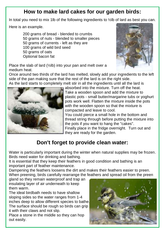### **How to make lard cakes for our garden birds :**

In total you need to mix 1lb of the following ingredients to 1/2lb of lard as best you can.

Here is an example.

200 grams of bread - blended to crumbs 2. 50 grams of nuts - blended to smaller pieces 50 grams of currents - left as they are 100 grams of wild bird seed 50 grams of oats 6. Optional bacon fat



Place the slab of lard (½lb) into your pan and melt over a medium heat.

Once around two thirds of the lard has melted, slowly add your ingredients to the left side of the pan making sure that the rest of the lard is on the right side. As the lard starts to completely melt stir in all the ingredients until all the lard is



absorbed into the mixture. Turn off the heat. Take a wooden spoon and add the mixture to plastic pots - small butter/margarine tubs or yoghurt pots work well. Flatten the mixture inside the pots with the wooden spoon so that the mixture is compacted and leave to cool.

You could pierce a small hole in the bottom and thread string through before putting the mixture into the pots if you want to hang the "cakes". Finally place in the fridge overnight. Turn out and they are ready for the garden.

### **Don't forget to provide clean water:**

Water is particularly important during the winter when natural supplies may be frozen. Birds need water for drinking and bathing.

It is essential that they keep their feathers in good condition and bathing is an important part of feather maintenance.

Dampening the feathers loosens the dirt and makes their feathers easier to preen. When preening, birds carefully rearrange the feathers and spread oil from the preen

gland so they remain waterproof and trap an insulating layer of air underneath to keep them warm.

The ideal birdbath needs to have shallow sloping sides so the water ranges from 1-4 inches deep to allow different species to bathe. The surface should be rough so birds can grip it with their claws and not slip.

Place a stone in the middle so they can hop out easily.

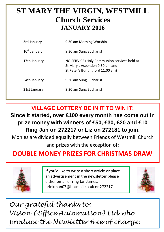### **ST MARY THE VIRGIN, WESTMILL Church Services JANUARY 2016**

| 3rd January              | 9.30 am Morning Worship                                                                                           |
|--------------------------|-------------------------------------------------------------------------------------------------------------------|
| 10 <sup>th</sup> January | 9.30 am Sung Eucharist                                                                                            |
| 17th January             | NO SERVICE (Holy Communion services held at<br>St Mary's Aspenden 9.30 am and<br>St Peter's Buntingford 11.00 am) |
| 24th January             | 9.30 am Sung Eucharist                                                                                            |
| 31st January             | 9.30 am Sung Eucharist                                                                                            |

**VILLAGE LOTTERY BE IN IT TO WIN IT!**

**Since it started, over £100 every month has come out in prize money with winners of £50, £30, £20 and £10 Ring Jan on 272217 or Liz on 272181 to join.**

Monies are divided equally between Friends of Westmill Church and prizes with the exception of:

### **DOUBLE MONEY PRIZES FOR CHRISTMAS DRAW**



If you'd like to write a short article or place an advertisement in the newsletter please either email or ring Jan James: brinkman07@hotmail.co.uk or 272217



*Our grateful thanks to: Vision (Office Automation) Ltd who produce the Newsletter free of charge.*